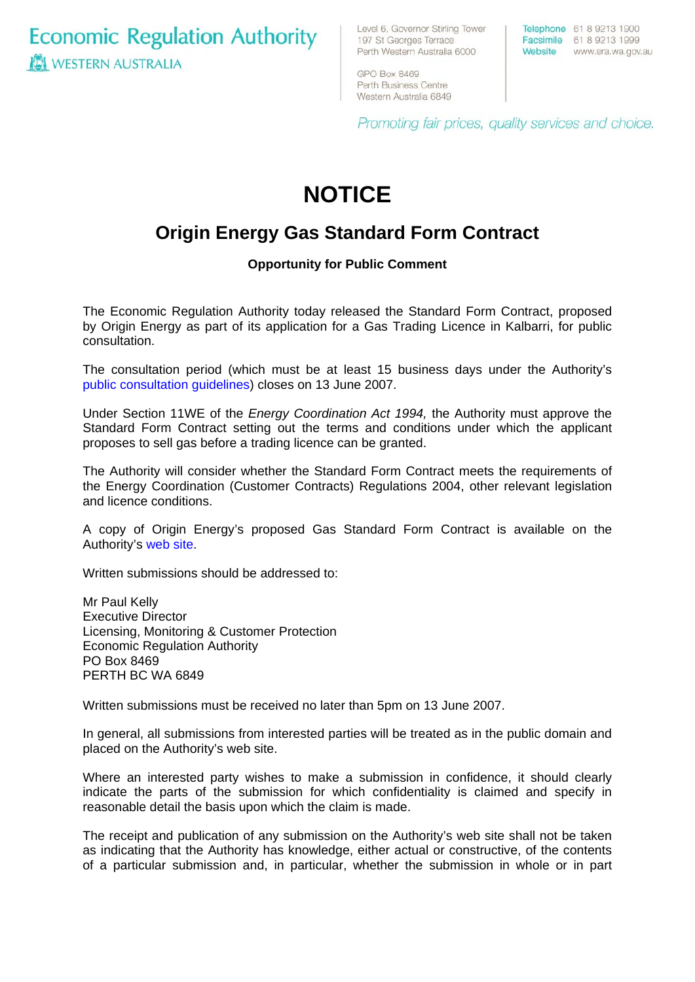**Economic Regulation Authority WESTERN AUSTRALIA** 

Level 6, Governor Stirling Tower 197 St Georges Terrace Perth Western Australia 6000

Telephone 61 8 9213 1900 Facsimile 61 8 9213 1999 Website www.era.wa.gov.au

GPO Box 8469 Perth Business Centre Western Australia 6849

Promoting fair prices, quality services and choice.

# **NOTICE**

## **Origin Energy Gas Standard Form Contract**

### **Opportunity for Public Comment**

The Economic Regulation Authority today released the Standard Form Contract, proposed by Origin Energy as part of its application for a Gas Trading Licence in Kalbarri, for public consultation.

The consultation period (which must be at least 15 business days under the Authority's [public consultation guidelines](http://www.era.wa.gov.au/cproot/2522/10021/Public%20Consultation%20Guidelines%20for%20Electricity,%20Gas%20and%20Water%20Licences%20and%20Electricity%20and%20Gas%20Standard%20Form%20Contracts%20July%202006%20new.pdf)) closes on 13 June 2007.

Under Section 11WE of the *Energy Coordination Act 1994,* the Authority must approve the Standard Form Contract setting out the terms and conditions under which the applicant proposes to sell gas before a trading licence can be granted.

The Authority will consider whether the Standard Form Contract meets the requirements of the [Energy Coordination \(Customer Contracts\) Regulations 2004,](http://www.slp.wa.gov.au/statutes/regs.nsf/PDFbyName/F7A6B366C8BA6B2648256EA2002013B4?openDocument) other relevant legislation and licence conditions.

A copy of Origin Energy's proposed Gas Standard Form Contract is available on the Authority's [web site.](http://www.era.wa.gov.au/cproot/5608/25030/Origin%20Energy%20Retail%20Ltd%20-%20Proposed%20Gas%20Standard%20Form%20Contract.pdf)

Written submissions should be addressed to:

Mr Paul Kelly Executive Director Licensing, Monitoring & Customer Protection Economic Regulation Authority PO Box 8469 PERTH BC WA 6849

Written submissions must be received no later than 5pm on 13 June 2007.

In general, all submissions from interested parties will be treated as in the public domain and placed on the Authority's web site.

Where an interested party wishes to make a submission in confidence, it should clearly indicate the parts of the submission for which confidentiality is claimed and specify in reasonable detail the basis upon which the claim is made.

The receipt and publication of any submission on the Authority's web site shall not be taken as indicating that the Authority has knowledge, either actual or constructive, of the contents of a particular submission and, in particular, whether the submission in whole or in part